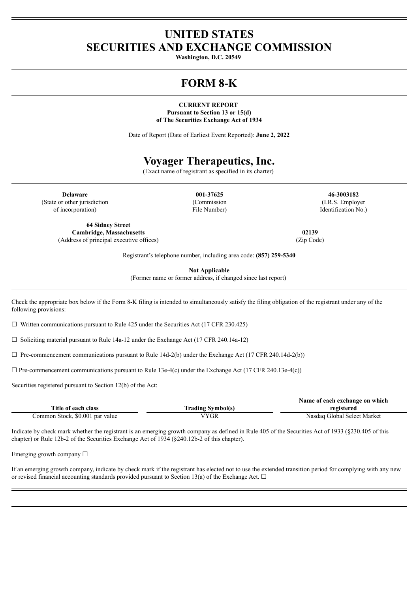# **UNITED STATES SECURITIES AND EXCHANGE COMMISSION**

**Washington, D.C. 20549**

# **FORM 8-K**

**CURRENT REPORT Pursuant to Section 13 or 15(d) of The Securities Exchange Act of 1934**

Date of Report (Date of Earliest Event Reported): **June 2, 2022**

# **Voyager Therapeutics, Inc.**

(Exact name of registrant as specified in its charter)

**Delaware 001-37625 46-3003182** (State or other jurisdiction of incorporation)

**64 Sidney Street Cambridge, Massachusetts 02139** (Address of principal executive offices) (Zip Code)

(Commission File Number)

(I.R.S. Employer Identification No.)

Registrant's telephone number, including area code: **(857) 259-5340**

**Not Applicable**

(Former name or former address, if changed since last report)

Check the appropriate box below if the Form 8-K filing is intended to simultaneously satisfy the filing obligation of the registrant under any of the following provisions:

 $\Box$  Written communications pursuant to Rule 425 under the Securities Act (17 CFR 230.425)

☐ Soliciting material pursuant to Rule 14a-12 under the Exchange Act (17 CFR 240.14a-12)

 $\Box$  Pre-commencement communications pursuant to Rule 14d-2(b) under the Exchange Act (17 CFR 240.14d-2(b))

 $\Box$  Pre-commencement communications pursuant to Rule 13e-4(c) under the Exchange Act (17 CFR 240.13e-4(c))

Securities registered pursuant to Section 12(b) of the Act:

|                                 |                          | Name of each exchange on which |
|---------------------------------|--------------------------|--------------------------------|
| Title of each class             | <b>Trading Symbol(s)</b> | registered                     |
| Common Stock, \$0.001 par value | VYGR                     | Nasdag Global Select Market    |

Indicate by check mark whether the registrant is an emerging growth company as defined in Rule 405 of the Securities Act of 1933 (§230.405 of this chapter) or Rule 12b-2 of the Securities Exchange Act of 1934 (§240.12b-2 of this chapter).

Emerging growth company  $\Box$ 

If an emerging growth company, indicate by check mark if the registrant has elected not to use the extended transition period for complying with any new or revised financial accounting standards provided pursuant to Section 13(a) of the Exchange Act.  $\Box$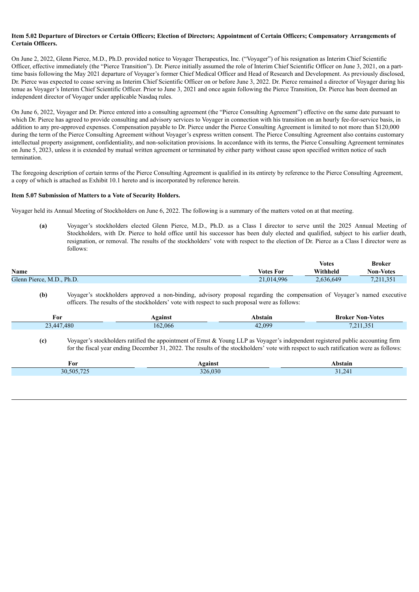#### Item 5.02 Departure of Directors or Certain Officers: Election of Directors: Appointment of Certain Officers: Compensatory Arrangements of **Certain Officers.**

On June 2, 2022, Glenn Pierce, M.D., Ph.D. provided notice to Voyager Therapeutics, Inc. ("Voyager") of his resignation as Interim Chief Scientific Officer, effective immediately (the "Pierce Transition"). Dr. Pierce initially assumed the role of Interim Chief Scientific Officer on June 3, 2021, on a parttime basis following the May 2021 departure of Voyager's former Chief Medical Officer and Head of Research and Development. As previously disclosed, Dr. Pierce was expected to cease serving as Interim Chief Scientific Officer on or before June 3, 2022. Dr. Pierce remained a director of Voyager during his tenue as Voyager's Interim Chief Scientific Officer. Prior to June 3, 2021 and once again following the Pierce Transition, Dr. Pierce has been deemed an independent director of Voyager under applicable Nasdaq rules.

On June 6, 2022, Voyager and Dr. Pierce entered into a consulting agreement (the "Pierce Consulting Agreement") effective on the same date pursuant to which Dr. Pierce has agreed to provide consulting and advisory services to Voyager in connection with his transition on an hourly fee-for-service basis, in addition to any pre-approved expenses. Compensation payable to Dr. Pierce under the Pierce Consulting Agreement is limited to not more than \$120,000 during the term of the Pierce Consulting Agreement without Voyager's express written consent. The Pierce Consulting Agreement also contains customary intellectual property assignment, confidentiality, and non-solicitation provisions. In accordance with its terms, the Pierce Consulting Agreement terminates on June 5, 2023, unless it is extended by mutual written agreement or terminated by either party without cause upon specified written notice of such termination.

The foregoing description of certain terms of the Pierce Consulting Agreement is qualified in its entirety by reference to the Pierce Consulting Agreement, a copy of which is attached as Exhibit 10.1 hereto and is incorporated by reference herein.

#### **Item 5.07 Submission of Matters to a Vote of Security Holders.**

Voyager held its Annual Meeting of Stockholders on June 6, 2022. The following is a summary of the matters voted on at that meeting.

**(a)** Voyager's stockholders elected Glenn Pierce, M.D., Ph.D. as a Class I director to serve until the 2025 Annual Meeting of Stockholders, with Dr. Pierce to hold office until his successor has been duly elected and qualified, subject to his earlier death, resignation, or removal. The results of the stockholders' vote with respect to the election of Dr. Pierce as a Class I director were as follows:

|                           |                  | <b>Votes</b> | <b>Broker</b>    |
|---------------------------|------------------|--------------|------------------|
| Name                      | <b>Votes For</b> | Withheld     | <b>Non-Votes</b> |
| Glenn Pierce, M.D., Ph.D. | 21,014,996       | 2,636,649    | 7,211,351        |

**(b)** Voyager's stockholders approved a non-binding, advisory proposal regarding the compensation of Voyager's named executive officers. The results of the stockholders' vote with respect to such proposal were as follows:

| For                                     | vøainst | hstan | <b>Votes</b><br>Broker<br>Non- |
|-----------------------------------------|---------|-------|--------------------------------|
| ',480<br>.447<br>$\mathbf{a}$<br>. ت سه | 162,066 | 000   | $\sim$ $-1$<br>7.211.331       |

**(c)** Voyager's stockholders ratified the appointment of Ernst & Young LLP as Voyager's independent registered public accounting firm for the fiscal year ending December 31, 2022. The results of the stockholders' vote with respect to such ratification were as follows:

| For         | <b>\gainst</b> | <b>\bstain</b> |
|-------------|----------------|----------------|
| $10.505$ 70 | 326.030        |                |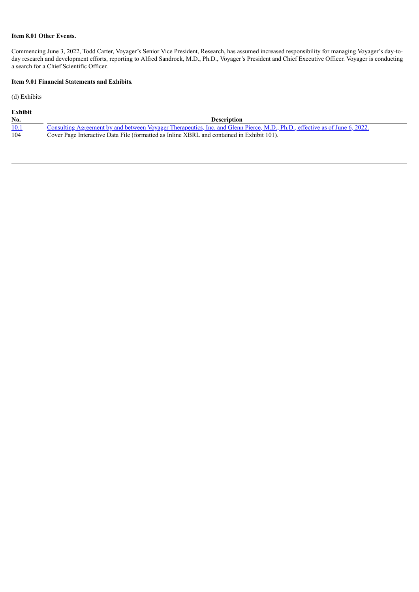## **Item 8.01 Other Events.**

Commencing June 3, 2022, Todd Carter, Voyager's Senior Vice President, Research, has assumed increased responsibility for managing Voyager's day-today research and development efforts, reporting to Alfred Sandrock, M.D., Ph.D., Voyager's President and Chief Executive Officer. Voyager is conducting a search for a Chief Scientific Officer.

# **Item 9.01 Financial Statements and Exhibits.**

(d) Exhibits

| Exhibit |                                                                                                                             |
|---------|-----------------------------------------------------------------------------------------------------------------------------|
| No.     | <b>Description</b>                                                                                                          |
| 10.1    | Consulting Agreement by and between Voyager Therapeutics, Inc. and Glenn Pierce, M.D., Ph.D., effective as of June 6, 2022. |
| 104     | Cover Page Interactive Data File (formatted as Inline XBRL and contained in Exhibit 101).                                   |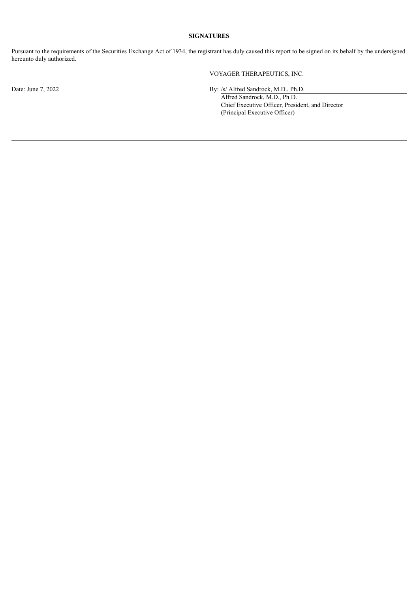## **SIGNATURES**

Pursuant to the requirements of the Securities Exchange Act of 1934, the registrant has duly caused this report to be signed on its behalf by the undersigned hereunto duly authorized.

VOYAGER THERAPEUTICS, INC.

Date: June 7, 2022 By: /s/ Alfred Sandrock, M.D., Ph.D.

Alfred Sandrock, M.D., Ph.D. Chief Executive Officer, President, and Director (Principal Executive Officer)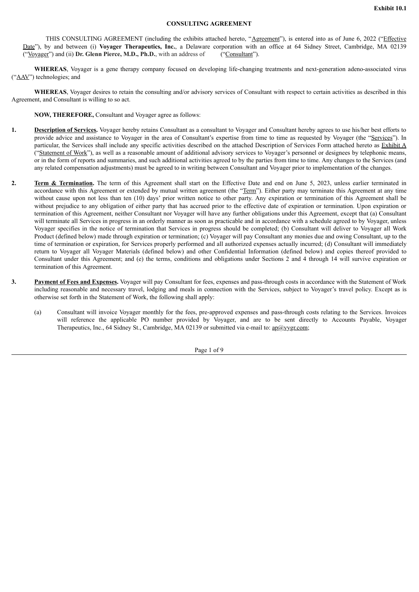#### **CONSULTING AGREEMENT**

<span id="page-4-0"></span>THIS CONSULTING AGREEMENT (including the exhibits attached hereto, "Agreement"), is entered into as of June 6, 2022 ("Effective Date"), by and between (i) **Voyager Therapeutics, Inc.**, a Delaware corporation with an office at 64 Sidney Street, Cambridge, MA 02139 ("Voyager") and (ii) **Dr. Glenn Pierce, M.D., Ph.D.**, with an address of ("Consultant").

**WHEREAS**, Voyager is a gene therapy company focused on developing life-changing treatments and next-generation adeno-associated virus ("AAV") technologies; and

**WHEREAS**, Voyager desires to retain the consulting and/or advisory services of Consultant with respect to certain activities as described in this Agreement, and Consultant is willing to so act.

**NOW, THEREFORE,** Consultant and Voyager agree as follows:

- **1. Description of Services.** Voyager hereby retains Consultant as a consultant to Voyager and Consultant hereby agrees to use his/her best efforts to provide advice and assistance to Voyager in the area of Consultant's expertise from time to time as requested by Voyager (the "Services"). In particular, the Services shall include any specific activities described on the attached Description of Services Form attached hereto as Exhibit A ("Statement of Work"), as well as a reasonable amount of additional advisory services to Voyager's personnel or designees by telephonic means, or in the form of reports and summaries, and such additional activities agreed to by the parties from time to time. Any changes to the Services (and any related compensation adjustments) must be agreed to in writing between Consultant and Voyager prior to implementation of the changes.
- **2. Term & Termination.** The term of this Agreement shall start on the Effective Date and end on June 5, 2023, unless earlier terminated in accordance with this Agreement or extended by mutual written agreement (the "Term"). Either party may terminate this Agreement at any time without cause upon not less than ten (10) days' prior written notice to other party. Any expiration or termination of this Agreement shall be without prejudice to any obligation of either party that has accrued prior to the effective date of expiration or termination. Upon expiration or termination of this Agreement, neither Consultant nor Voyager will have any further obligations under this Agreement, except that (a) Consultant will terminate all Services in progress in an orderly manner as soon as practicable and in accordance with a schedule agreed to by Voyager, unless Voyager specifies in the notice of termination that Services in progress should be completed; (b) Consultant will deliver to Voyager all Work Product (defined below) made through expiration or termination; (c) Voyager will pay Consultant any monies due and owing Consultant, up to the time of termination or expiration, for Services properly performed and all authorized expenses actually incurred; (d) Consultant will immediately return to Voyager all Voyager Materials (defined below) and other Confidential Information (defined below) and copies thereof provided to Consultant under this Agreement; and (e) the terms, conditions and obligations under Sections 2 and 4 through 14 will survive expiration or termination of this Agreement.
- **3. Payment of Fees and Expenses.** Voyager will pay Consultant for fees, expenses and pass-through costs in accordance with the Statement of Work including reasonable and necessary travel, lodging and meals in connection with the Services, subject to Voyager's travel policy. Except as is otherwise set forth in the Statement of Work, the following shall apply:
	- (a) Consultant will invoice Voyager monthly for the fees, pre-approved expenses and pass-through costs relating to the Services. Invoices will reference the applicable PO number provided by Voyager, and are to be sent directly to Accounts Payable, Voyager Therapeutics, Inc., 64 Sidney St., Cambridge, MA 02139 or submitted via e-mail to: ap@vygr.com;

Page 1 of 9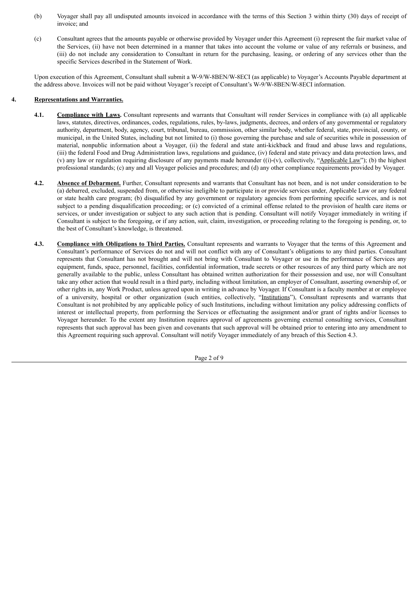- (b) Voyager shall pay all undisputed amounts invoiced in accordance with the terms of this Section 3 within thirty (30) days of receipt of invoice; and
- (c) Consultant agrees that the amounts payable or otherwise provided by Voyager under this Agreement (i) represent the fair market value of the Services, (ii) have not been determined in a manner that takes into account the volume or value of any referrals or business, and (iii) do not include any consideration to Consultant in return for the purchasing, leasing, or ordering of any services other than the specific Services described in the Statement of Work.

Upon execution of this Agreement, Consultant shall submit a W-9/W-8BEN/W-8ECI (as applicable) to Voyager's Accounts Payable department at the address above. Invoices will not be paid without Voyager's receipt of Consultant's W-9/W-8BEN/W-8ECI information.

## **4. Representations and Warranties.**

- **4.1. Compliance with Laws.** Consultant represents and warrants that Consultant will render Services in compliance with (a) all applicable laws, statutes, directives, ordinances, codes, regulations, rules, by-laws, judgments, decrees, and orders of any governmental or regulatory authority, department, body, agency, court, tribunal, bureau, commission, other similar body, whether federal, state, provincial, county, or municipal, in the United States, including but not limited to (i) those governing the purchase and sale of securities while in possession of material, nonpublic information about a Voyager, (ii) the federal and state anti-kickback and fraud and abuse laws and regulations, (iii) the federal Food and Drug Administration laws, regulations and guidance, (iv) federal and state privacy and data protection laws, and (v) any law or regulation requiring disclosure of any payments made hereunder ((i)-(v), collectively, "Applicable Law"); (b) the highest professional standards; (c) any and all Voyager policies and procedures; and (d) any other compliance requirements provided by Voyager.
- **4.2. Absence of Debarment.** Further, Consultant represents and warrants that Consultant has not been, and is not under consideration to be (a) debarred, excluded, suspended from, or otherwise ineligible to participate in or provide services under, Applicable Law or any federal or state health care program; (b) disqualified by any government or regulatory agencies from performing specific services, and is not subject to a pending disqualification proceeding; or (c) convicted of a criminal offense related to the provision of health care items or services, or under investigation or subject to any such action that is pending. Consultant will notify Voyager immediately in writing if Consultant is subject to the foregoing, or if any action, suit, claim, investigation, or proceeding relating to the foregoing is pending, or, to the best of Consultant's knowledge, is threatened.
- **4.3. Compliance with Obligations to Third Parties.** Consultant represents and warrants to Voyager that the terms of this Agreement and Consultant's performance of Services do not and will not conflict with any of Consultant's obligations to any third parties. Consultant represents that Consultant has not brought and will not bring with Consultant to Voyager or use in the performance of Services any equipment, funds, space, personnel, facilities, confidential information, trade secrets or other resources of any third party which are not generally available to the public, unless Consultant has obtained written authorization for their possession and use, nor will Consultant take any other action that would result in a third party, including without limitation, an employer of Consultant, asserting ownership of, or other rights in, any Work Product, unless agreed upon in writing in advance by Voyager. If Consultant is a faculty member at or employee of a university, hospital or other organization (such entities, collectively, "Institutions"), Consultant represents and warrants that Consultant is not prohibited by any applicable policy of such Institutions, including without limitation any policy addressing conflicts of interest or intellectual property, from performing the Services or effectuating the assignment and/or grant of rights and/or licenses to Voyager hereunder. To the extent any Institution requires approval of agreements governing external consulting services, Consultant represents that such approval has been given and covenants that such approval will be obtained prior to entering into any amendment to this Agreement requiring such approval. Consultant will notify Voyager immediately of any breach of this Section 4.3.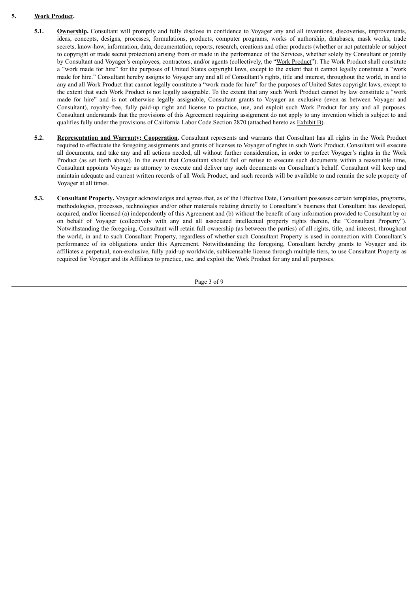# **5. Work Product.**

- **5.1. Ownership.** Consultant will promptly and fully disclose in confidence to Voyager any and all inventions, discoveries, improvements, ideas, concepts, designs, processes, formulations, products, computer programs, works of authorship, databases, mask works, trade secrets, know-how, information, data, documentation, reports, research, creations and other products (whether or not patentable or subject to copyright or trade secret protection) arising from or made in the performance of the Services, whether solely by Consultant or jointly by Consultant and Voyager's employees, contractors, and/or agents (collectively, the "Work Product"). The Work Product shall constitute a "work made for hire" for the purposes of United States copyright laws, except to the extent that it cannot legally constitute a "work made for hire." Consultant hereby assigns to Voyager any and all of Consultant's rights, title and interest, throughout the world, in and to any and all Work Product that cannot legally constitute a "work made for hire" for the purposes of United Sates copyright laws, except to the extent that such Work Product is not legally assignable. To the extent that any such Work Product cannot by law constitute a "work made for hire" and is not otherwise legally assignable, Consultant grants to Voyager an exclusive (even as between Voyager and Consultant), royalty-free, fully paid-up right and license to practice, use, and exploit such Work Product for any and all purposes. Consultant understands that the provisions of this Agreement requiring assignment do not apply to any invention which is subject to and qualifies fully under the provisions of California Labor Code Section 2870 (attached hereto as Exhibit B).
- **5.2. Representation and Warranty; Cooperation.** Consultant represents and warrants that Consultant has all rights in the Work Product required to effectuate the foregoing assignments and grants of licenses to Voyager of rights in such Work Product. Consultant will execute all documents, and take any and all actions needed, all without further consideration, in order to perfect Voyager's rights in the Work Product (as set forth above). In the event that Consultant should fail or refuse to execute such documents within a reasonable time, Consultant appoints Voyager as attorney to execute and deliver any such documents on Consultant's behalf. Consultant will keep and maintain adequate and current written records of all Work Product, and such records will be available to and remain the sole property of Voyager at all times.
- **5.3. Consultant Property.** Voyager acknowledges and agrees that, as of the Effective Date, Consultant possesses certain templates, programs, methodologies, processes, technologies and/or other materials relating directly to Consultant's business that Consultant has developed, acquired, and/or licensed (a) independently of this Agreement and (b) without the benefit of any information provided to Consultant by or on behalf of Voyager (collectively with any and all associated intellectual property rights therein, the "Consultant Property"). Notwithstanding the foregoing, Consultant will retain full ownership (as between the parties) of all rights, title, and interest, throughout the world, in and to such Consultant Property, regardless of whether such Consultant Property is used in connection with Consultant's performance of its obligations under this Agreement. Notwithstanding the foregoing, Consultant hereby grants to Voyager and its affiliates a perpetual, non-exclusive, fully paid-up worldwide, sublicensable license through multiple tiers, to use Consultant Property as required for Voyager and its Affiliates to practice, use, and exploit the Work Product for any and all purposes.

Page 3 of 9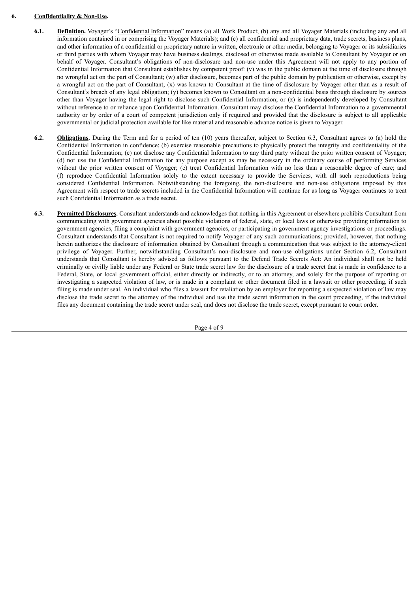## **6. Confidentiality & Non-Use.**

- **6.1. Definition.** Voyager's "Confidential Information" means (a) all Work Product; (b) any and all Voyager Materials (including any and all information contained in or comprising the Voyager Materials); and (c) all confidential and proprietary data, trade secrets, business plans, and other information of a confidential or proprietary nature in written, electronic or other media, belonging to Voyager or its subsidiaries or third parties with whom Voyager may have business dealings, disclosed or otherwise made available to Consultant by Voyager or on behalf of Voyager. Consultant's obligations of non-disclosure and non-use under this Agreement will not apply to any portion of Confidential Information that Consultant establishes by competent proof: (v) was in the public domain at the time of disclosure through no wrongful act on the part of Consultant; (w) after disclosure, becomes part of the public domain by publication or otherwise, except by a wrongful act on the part of Consultant; (x) was known to Consultant at the time of disclosure by Voyager other than as a result of Consultant's breach of any legal obligation; (y) becomes known to Consultant on a non-confidential basis through disclosure by sources other than Voyager having the legal right to disclose such Confidential Information; or (z) is independently developed by Consultant without reference to or reliance upon Confidential Information. Consultant may disclose the Confidential Information to a governmental authority or by order of a court of competent jurisdiction only if required and provided that the disclosure is subject to all applicable governmental or judicial protection available for like material and reasonable advance notice is given to Voyager.
- **6.2. Obligations.** During the Term and for a period of ten (10) years thereafter, subject to Section 6.3, Consultant agrees to (a) hold the Confidential Information in confidence; (b) exercise reasonable precautions to physically protect the integrity and confidentiality of the Confidential Information; (c) not disclose any Confidential Information to any third party without the prior written consent of Voyager; (d) not use the Confidential Information for any purpose except as may be necessary in the ordinary course of performing Services without the prior written consent of Voyager; (e) treat Confidential Information with no less than a reasonable degree of care; and (f) reproduce Confidential Information solely to the extent necessary to provide the Services, with all such reproductions being considered Confidential Information. Notwithstanding the foregoing, the non-disclosure and non-use obligations imposed by this Agreement with respect to trade secrets included in the Confidential Information will continue for as long as Voyager continues to treat such Confidential Information as a trade secret.
- **6.3. Permitted Disclosures.** Consultant understands and acknowledges that nothing in this Agreement or elsewhere prohibits Consultant from communicating with government agencies about possible violations of federal, state, or local laws or otherwise providing information to government agencies, filing a complaint with government agencies, or participating in government agency investigations or proceedings. Consultant understands that Consultant is not required to notify Voyager of any such communications; provided, however, that nothing herein authorizes the disclosure of information obtained by Consultant through a communication that was subject to the attorney-client privilege of Voyager. Further, notwithstanding Consultant's non-disclosure and non-use obligations under Section 6.2, Consultant understands that Consultant is hereby advised as follows pursuant to the Defend Trade Secrets Act: An individual shall not be held criminally or civilly liable under any Federal or State trade secret law for the disclosure of a trade secret that is made in confidence to a Federal, State, or local government official, either directly or indirectly, or to an attorney, and solely for the purpose of reporting or investigating a suspected violation of law, or is made in a complaint or other document filed in a lawsuit or other proceeding, if such filing is made under seal. An individual who files a lawsuit for retaliation by an employer for reporting a suspected violation of law may disclose the trade secret to the attorney of the individual and use the trade secret information in the court proceeding, if the individual files any document containing the trade secret under seal, and does not disclose the trade secret, except pursuant to court order.

Page 4 of 9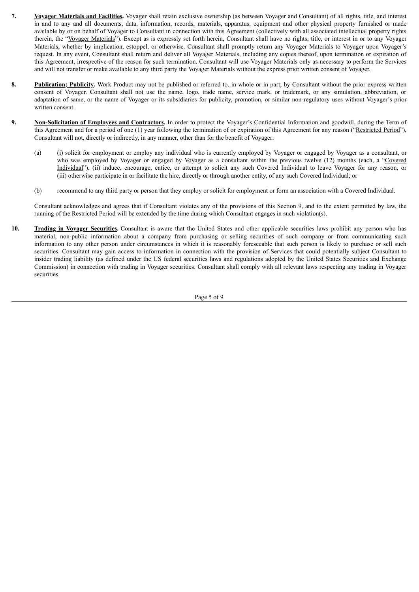- **7. Voyager Materials and Facilities.** Voyager shall retain exclusive ownership (as between Voyager and Consultant) of all rights, title, and interest in and to any and all documents, data, information, records, materials, apparatus, equipment and other physical property furnished or made available by or on behalf of Voyager to Consultant in connection with this Agreement (collectively with all associated intellectual property rights therein, the "Voyager Materials"). Except as is expressly set forth herein, Consultant shall have no rights, title, or interest in or to any Voyager Materials, whether by implication, estoppel, or otherwise. Consultant shall promptly return any Voyager Materials to Voyager upon Voyager's request. In any event, Consultant shall return and deliver all Voyager Materials, including any copies thereof, upon termination or expiration of this Agreement, irrespective of the reason for such termination. Consultant will use Voyager Materials only as necessary to perform the Services and will not transfer or make available to any third party the Voyager Materials without the express prior written consent of Voyager.
- **8. Publication; Publicity.** Work Product may not be published or referred to, in whole or in part, by Consultant without the prior express written consent of Voyager. Consultant shall not use the name, logo, trade name, service mark, or trademark, or any simulation, abbreviation, or adaptation of same, or the name of Voyager or its subsidiaries for publicity, promotion, or similar non-regulatory uses without Voyager's prior written consent.
- **9. Non-Solicitation of Employees and Contractors.** In order to protect the Voyager's Confidential Information and goodwill, during the Term of this Agreement and for a period of one (1) year following the termination of or expiration of this Agreement for any reason ("Restricted Period"), Consultant will not, directly or indirectly, in any manner, other than for the benefit of Voyager:
	- (a) (i) solicit for employment or employ any individual who is currently employed by Voyager or engaged by Voyager as a consultant, or who was employed by Voyager or engaged by Voyager as a consultant within the previous twelve (12) months (each, a "Covered Individual"), (ii) induce, encourage, entice, or attempt to solicit any such Covered Individual to leave Voyager for any reason, or (iii) otherwise participate in or facilitate the hire, directly or through another entity, of any such Covered Individual; or
	- (b) recommend to any third party or person that they employ or solicit for employment or form an association with a Covered Individual.

Consultant acknowledges and agrees that if Consultant violates any of the provisions of this Section 9, and to the extent permitted by law, the running of the Restricted Period will be extended by the time during which Consultant engages in such violation(s).

**10. Trading in Voyager Securities.** Consultant is aware that the United States and other applicable securities laws prohibit any person who has material, non-public information about a company from purchasing or selling securities of such company or from communicating such information to any other person under circumstances in which it is reasonably foreseeable that such person is likely to purchase or sell such securities. Consultant may gain access to information in connection with the provision of Services that could potentially subject Consultant to insider trading liability (as defined under the US federal securities laws and regulations adopted by the United States Securities and Exchange Commission) in connection with trading in Voyager securities. Consultant shall comply with all relevant laws respecting any trading in Voyager securities.

Page 5 of 9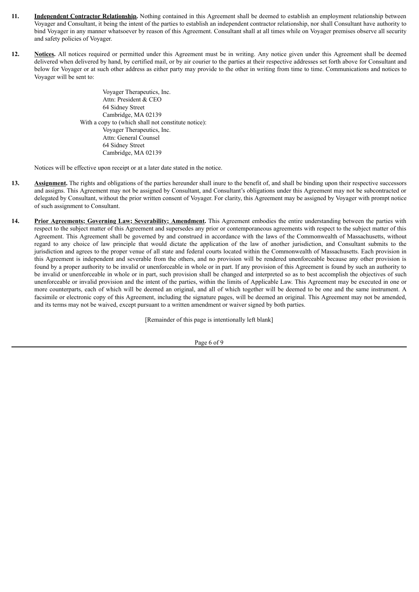- **11. Independent Contractor Relationship.** Nothing contained in this Agreement shall be deemed to establish an employment relationship between Voyager and Consultant, it being the intent of the parties to establish an independent contractor relationship, nor shall Consultant have authority to bind Voyager in any manner whatsoever by reason of this Agreement. Consultant shall at all times while on Voyager premises observe all security and safety policies of Voyager.
- **12. Notices.** All notices required or permitted under this Agreement must be in writing. Any notice given under this Agreement shall be deemed delivered when delivered by hand, by certified mail, or by air courier to the parties at their respective addresses set forth above for Consultant and below for Voyager or at such other address as either party may provide to the other in writing from time to time. Communications and notices to Voyager will be sent to:

Voyager Therapeutics, Inc. Attn: President & CEO 64 Sidney Street Cambridge, MA 02139 With a copy to (which shall not constitute notice): Voyager Therapeutics, Inc. Attn: General Counsel 64 Sidney Street Cambridge, MA 02139

Notices will be effective upon receipt or at a later date stated in the notice.

- **13. Assignment.** The rights and obligations of the parties hereunder shall inure to the benefit of, and shall be binding upon their respective successors and assigns. This Agreement may not be assigned by Consultant, and Consultant's obligations under this Agreement may not be subcontracted or delegated by Consultant, without the prior written consent of Voyager. For clarity, this Agreement may be assigned by Voyager with prompt notice of such assignment to Consultant.
- **14. Prior Agreements; Governing Law; Severability; Amendment.** This Agreement embodies the entire understanding between the parties with respect to the subject matter of this Agreement and supersedes any prior or contemporaneous agreements with respect to the subject matter of this Agreement. This Agreement shall be governed by and construed in accordance with the laws of the Commonwealth of Massachusetts, without regard to any choice of law principle that would dictate the application of the law of another jurisdiction, and Consultant submits to the jurisdiction and agrees to the proper venue of all state and federal courts located within the Commonwealth of Massachusetts. Each provision in this Agreement is independent and severable from the others, and no provision will be rendered unenforceable because any other provision is found by a proper authority to be invalid or unenforceable in whole or in part. If any provision of this Agreement is found by such an authority to be invalid or unenforceable in whole or in part, such provision shall be changed and interpreted so as to best accomplish the objectives of such unenforceable or invalid provision and the intent of the parties, within the limits of Applicable Law. This Agreement may be executed in one or more counterparts, each of which will be deemed an original, and all of which together will be deemed to be one and the same instrument. A facsimile or electronic copy of this Agreement, including the signature pages, will be deemed an original. This Agreement may not be amended, and its terms may not be waived, except pursuant to a written amendment or waiver signed by both parties.

[Remainder of this page is intentionally left blank]

Page 6 of 9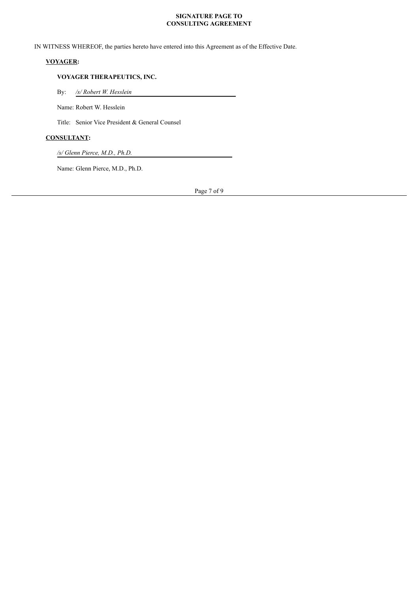#### **SIGNATURE PAGE TO CONSULTING AGREEMENT**

IN WITNESS WHEREOF, the parties hereto have entered into this Agreement as of the Effective Date.

# **VOYAGER:**

## **VOYAGER THERAPEUTICS, INC.**

By: */s/ Robert W. Hesslein*

Name: Robert W. Hesslein

Title: Senior Vice President & General Counsel

# **CONSULTANT:**

*/s/ Glenn Pierce, M.D., Ph.D.*

Name: Glenn Pierce, M.D., Ph.D.

Page 7 of 9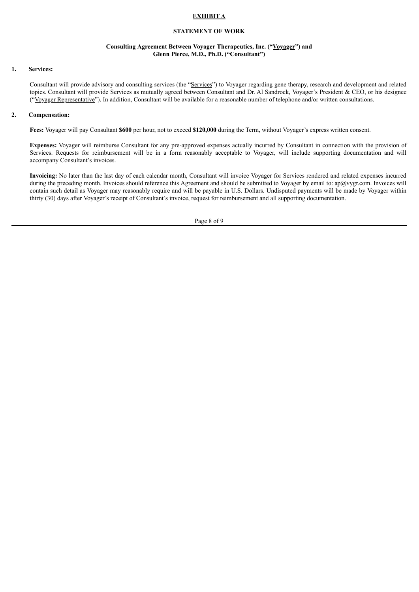#### **EXHIBIT A**

#### **STATEMENT OF WORK**

#### **Consulting Agreement Between Voyager Therapeutics, Inc. ("Voyager") and Glenn Pierce, M.D., Ph.D. ("Consultant")**

#### **1. Services:**

Consultant will provide advisory and consulting services (the "Services") to Voyager regarding gene therapy, research and development and related topics. Consultant will provide Services as mutually agreed between Consultant and Dr. Al Sandrock, Voyager's President & CEO, or his designee ("Voyager Representative"). In addition, Consultant will be available for a reasonable number of telephone and/or written consultations.

#### **2. Compensation:**

**Fees:** Voyager will pay Consultant **\$600** per hour, not to exceed **\$120,000** during the Term, without Voyager's express written consent.

**Expenses:** Voyager will reimburse Consultant for any pre-approved expenses actually incurred by Consultant in connection with the provision of Services. Requests for reimbursement will be in a form reasonably acceptable to Voyager, will include supporting documentation and will accompany Consultant's invoices.

**Invoicing:** No later than the last day of each calendar month, Consultant will invoice Voyager for Services rendered and related expenses incurred during the preceding month. Invoices should reference this Agreement and should be submitted to Voyager by email to:  $ap@vygr.com$ . Invoices will contain such detail as Voyager may reasonably require and will be payable in U.S. Dollars. Undisputed payments will be made by Voyager within thirty (30) days after Voyager's receipt of Consultant's invoice, request for reimbursement and all supporting documentation.

Page 8 of 9